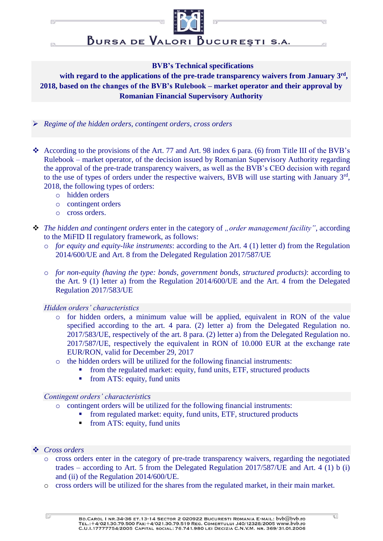$\Box$ 

同

BURSA DE VALORI BUCURESTI S.A.

### **BVB's Technical specifications**

**with regard to the applications of the pre-trade transparency waivers from January 3rd , 2018, based on the changes of the BVB's Rulebook – market operator and their approval by Romanian Financial Supervisory Authority**

- *Regime of the hidden orders, contingent orders, cross orders*
- According to the provisions of the Art. 77 and Art. 98 index 6 para. (6) from Title III of the BVB's Rulebook – market operator, of the decision issued by Romanian Supervisory Authority regarding the approval of the pre-trade transparency waivers, as well as the BVB's CEO decision with regard to the use of types of orders under the respective waivers, BVB will use starting with January 3<sup>rd</sup>, 2018, the following types of orders:
	- o hidden orders
	- o contingent orders
	- o cross orders.
- **❖** *The hidden and contingent orders* enter in the category of *"order management facility"*, according to the MiFID II regulatory framework, as follows:
	- o *for equity and equity-like instruments*: according to the Art. 4 (1) letter d) from the Regulation 2014/600/UE and Art. 8 from the Delegated Regulation 2017/587/UE
	- o *for non-equity (having the type: bonds, government bonds, structured products)*: according to the Art. 9 (1) letter a) from the Regulation 2014/600/UE and the Art. 4 from the Delegated Regulation 2017/583/UE

*Hidden orders' characteristics* 

- o for hidden orders, a minimum value will be applied, equivalent in RON of the value specified according to the art. 4 para. (2) letter a) from the Delegated Regulation no. 2017/583/UE, respectively of the art. 8 para. (2) letter a) from the Delegated Regulation no. 2017/587/UE, respectively the equivalent in RON of 10.000 EUR at the exchange rate EUR/RON, valid for December 29, 2017
- o the hidden orders will be utilized for the following financial instruments:
	- from the regulated market: equity, fund units, ETF, structured products
		- from ATS: equity, fund units

### *Contingent orders' characteristics*

- o contingent orders will be utilized for the following financial instruments:
	- from regulated market: equity, fund units, ETF, structured products
		- from ATS: equity, fund units

### *Cross orders*

- o cross orders enter in the category of pre-trade transparency waivers, regarding the negotiated trades – according to Art. 5 from the Delegated Regulation 2017/587/UE and Art. 4 (1) b (i) and (ii) of the Regulation 2014/600/UE.
- o cross orders will be utilized for the shares from the regulated market, in their main market.

 $\Box$ 

'n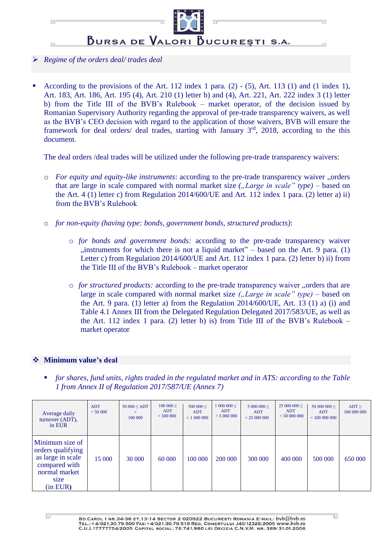

## *Regime of the orders deal/ trades deal*

 According to the provisions of the Art. 112 index 1 para. (2) - (5), Art. 113 (1) and (1 index 1), Art. 183, Art. 186, Art. 195 (4), Art. 210 (1) letter b) and (4), Art. 221, Art. 222 index 3 (1) letter b) from the Title III of the BVB's Rulebook – market operator, of the decision issued by Romanian Supervisory Authority regarding the approval of pre-trade transparency waivers, as well as the BVB's CEO decision with regard to the application of those waivers, BVB will ensure the framework for deal orders/ deal trades, starting with January 3<sup>rd</sup>, 2018, according to the this document.

The deal orders /deal trades will be utilized under the following pre-trade transparency waivers:

- o *For equity and equity-like instruments*: according to the pre-trade transparency waiver "orders that are large in scale compared with normal market size *("Large in scale" type)* – based on the Art. 4 (1) letter c) from Regulation 2014/600/UE and Art. 112 index 1 para. (2) letter a) ii) from the BVB's Rulebook
- o *for non-equity (having type: bonds, government bonds, structured products)*:
	- o *for bonds and government bonds:* according to the pre-trade transparency waiver  $\mu$  instruments for which there is not a liquid market" – based on the Art. 9 para. (1) Letter c) from Regulation 2014/600/UE and Art. 112 index 1 para. (2) letter b) ii) from the Title III of the BVB's Rulebook – market operator
	- o *for structured products:* according to the pre-trade transparency waiver "orders that are large in scale compared with normal market size *("Large in scale" type)* – based on the Art. 9 para. (1) letter a) from the Regulation  $2014/600/UE$ , Art. 13 (1) a) (i) and Table 4.1 Annex III from the Delegated Regulation Delegated 2017/583/UE, as well as the Art. 112 index 1 para. (2) letter b) is) from Title III of the BVB's Rulebook  $$ market operator

# **Minimum value's deal**

 *for shares, fund units, rights traded in the regulated market and in ATS: according to the Table 1 from Annex II of Regulation 2017/587/UE (Annex 7)*

| Average daily<br>turnover (ADT),<br>in EUR                                                                      | <b>ADT</b><br>< 50000 | $50000 \le ADT$<br>$\,<\,$<br>100 000 | $100000 \leq$<br><b>ADT</b><br>< 500000 | 500 000 $\leq$<br><b>ADT</b><br>< 1000000 | $1000000 \leq$<br>ADT<br>< 5000000 | $5000000 \le$<br><b>ADT</b><br>< 25000000 | $25000000 \le$<br>ADT<br>< 50000000 | 50 000 000 $\leq$<br>ADT<br>< 100000000 | $ADT \ge$<br>100 000 000 |
|-----------------------------------------------------------------------------------------------------------------|-----------------------|---------------------------------------|-----------------------------------------|-------------------------------------------|------------------------------------|-------------------------------------------|-------------------------------------|-----------------------------------------|--------------------------|
| Minimum size of<br>orders qualifying<br>as large in scale<br>compared with<br>normal market<br>size<br>(in EUR) | 15 000                | 30 000                                | 60 000                                  | 100 000                                   | 200 000                            | 300 000                                   | 400 000                             | 500 000                                 | 650 000                  |

Ū